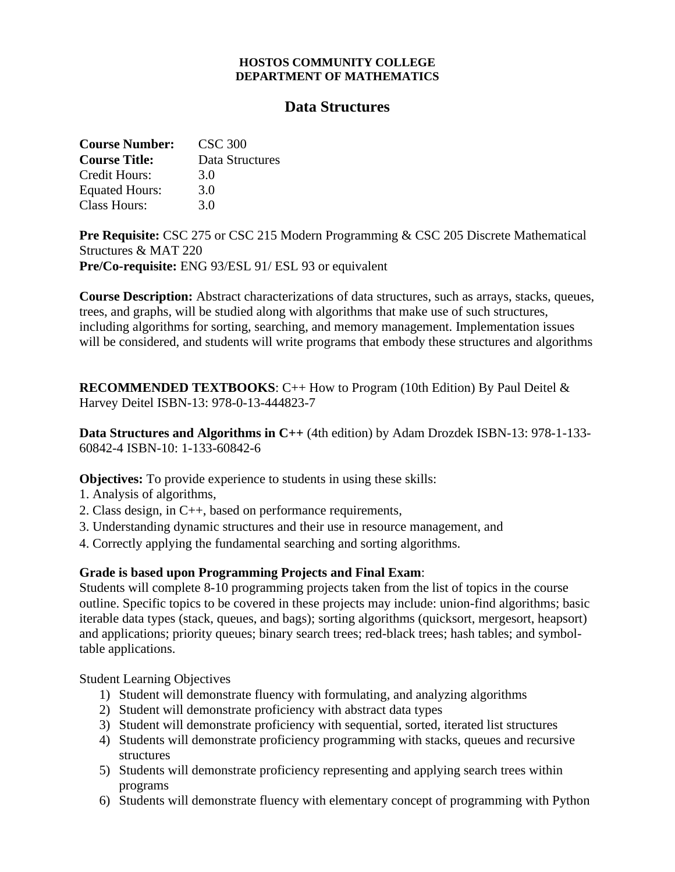## **HOSTOS COMMUNITY COLLEGE DEPARTMENT OF MATHEMATICS**

## **Data Structures**

| <b>Course Number:</b> | CSC 300         |
|-----------------------|-----------------|
| <b>Course Title:</b>  | Data Structures |
| Credit Hours:         | 3.0             |
| <b>Equated Hours:</b> | 3.0             |
| Class Hours:          | 3.0             |

**Pre Requisite:** CSC 275 or CSC 215 Modern Programming & CSC 205 Discrete Mathematical Structures & MAT 220 **Pre/Co-requisite:** ENG 93/ESL 91/ ESL 93 or equivalent

**Course Description:** Abstract characterizations of data structures, such as arrays, stacks, queues, trees, and graphs, will be studied along with algorithms that make use of such structures, including algorithms for sorting, searching, and memory management. Implementation issues will be considered, and students will write programs that embody these structures and algorithms

**RECOMMENDED TEXTBOOKS**: C++ How to Program (10th Edition) By Paul Deitel & Harvey Deitel ISBN-13: 978-0-13-444823-7

**Data Structures and Algorithms in C++** (4th edition) by Adam Drozdek ISBN-13: 978-1-133- 60842-4 ISBN-10: 1-133-60842-6

**Objectives:** To provide experience to students in using these skills:

- 1. Analysis of algorithms,
- 2. Class design, in C++, based on performance requirements,
- 3. Understanding dynamic structures and their use in resource management, and
- 4. Correctly applying the fundamental searching and sorting algorithms.

## **Grade is based upon Programming Projects and Final Exam**:

Students will complete 8-10 programming projects taken from the list of topics in the course outline. Specific topics to be covered in these projects may include: union-find algorithms; basic iterable data types (stack, queues, and bags); sorting algorithms (quicksort, mergesort, heapsort) and applications; priority queues; binary search trees; red-black trees; hash tables; and symboltable applications.

Student Learning Objectives

- 1) Student will demonstrate fluency with formulating, and analyzing algorithms
- 2) Student will demonstrate proficiency with abstract data types
- 3) Student will demonstrate proficiency with sequential, sorted, iterated list structures
- 4) Students will demonstrate proficiency programming with stacks, queues and recursive structures
- 5) Students will demonstrate proficiency representing and applying search trees within programs
- 6) Students will demonstrate fluency with elementary concept of programming with Python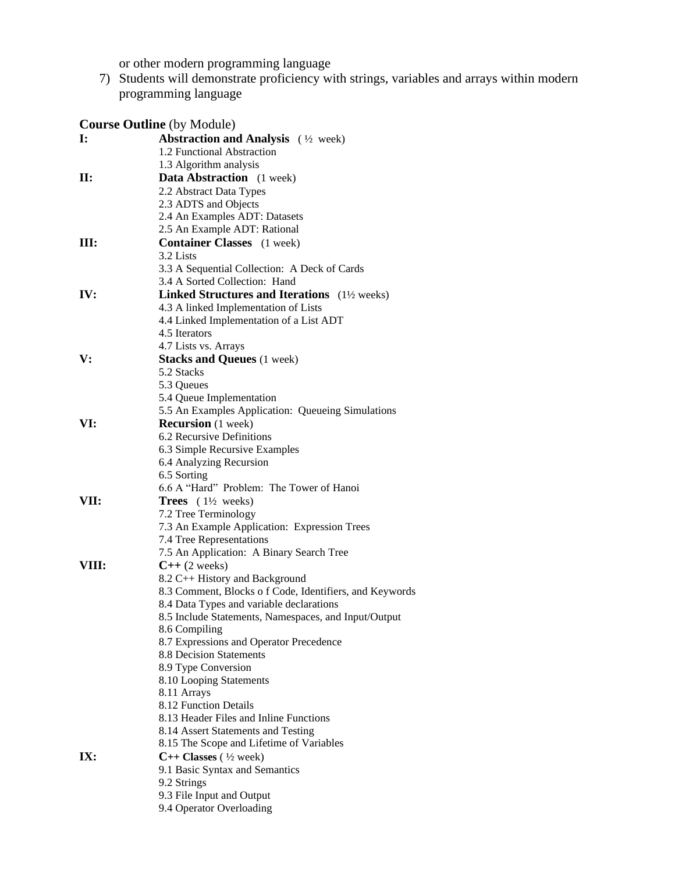or other modern programming language

7) Students will demonstrate proficiency with strings, variables and arrays within modern programming language

|       | <b>Course Outline</b> (by Module)                        |
|-------|----------------------------------------------------------|
| I:    | Abstraction and Analysis (1/2 week)                      |
|       | 1.2 Functional Abstraction                               |
|       | 1.3 Algorithm analysis                                   |
| П:    | <b>Data Abstraction</b> (1 week)                         |
|       | 2.2 Abstract Data Types                                  |
|       | 2.3 ADTS and Objects                                     |
|       | 2.4 An Examples ADT: Datasets                            |
|       | 2.5 An Example ADT: Rational                             |
| Ш:    | <b>Container Classes</b> (1 week)                        |
|       | 3.2 Lists                                                |
|       | 3.3 A Sequential Collection: A Deck of Cards             |
|       | 3.4 A Sorted Collection: Hand                            |
| IV:   | Linked Structures and Iterations (1½ weeks)              |
|       | 4.3 A linked Implementation of Lists                     |
|       | 4.4 Linked Implementation of a List ADT                  |
|       | 4.5 Iterators                                            |
|       | 4.7 Lists vs. Arrays                                     |
| V:    | <b>Stacks and Queues</b> (1 week)                        |
|       | 5.2 Stacks                                               |
|       | 5.3 Queues                                               |
|       | 5.4 Queue Implementation                                 |
|       | 5.5 An Examples Application: Queueing Simulations        |
| VI:   | <b>Recursion</b> (1 week)                                |
|       | 6.2 Recursive Definitions                                |
|       | 6.3 Simple Recursive Examples                            |
|       | 6.4 Analyzing Recursion                                  |
|       | 6.5 Sorting                                              |
|       | 6.6 A "Hard" Problem: The Tower of Hanoi                 |
| VII:  | <b>Trees</b> $(1\frac{1}{2} \text{ weeks})$              |
|       | 7.2 Tree Terminology                                     |
|       | 7.3 An Example Application: Expression Trees             |
|       | 7.4 Tree Representations                                 |
|       | 7.5 An Application: A Binary Search Tree                 |
| VIII: | $C++ (2 weeks)$                                          |
|       | 8.2 C++ History and Background                           |
|       | 8.3 Comment, Blocks o f Code, Identifiers, and Keywords  |
|       | 8.4 Data Types and variable declarations                 |
|       | 8.5 Include Statements, Namespaces, and Input/Output     |
|       | 8.6 Compiling<br>8.7 Expressions and Operator Precedence |
|       | 8.8 Decision Statements                                  |
|       | 8.9 Type Conversion                                      |
|       | 8.10 Looping Statements                                  |
|       | 8.11 Arrays                                              |
|       | 8.12 Function Details                                    |
|       | 8.13 Header Files and Inline Functions                   |
|       | 8.14 Assert Statements and Testing                       |
|       | 8.15 The Scope and Lifetime of Variables                 |
| IX:   | $C++$ Classes ( $\frac{1}{2}$ week)                      |
|       | 9.1 Basic Syntax and Semantics                           |
|       | 9.2 Strings                                              |
|       | 9.3 File Input and Output                                |
|       | 9.4 Operator Overloading                                 |